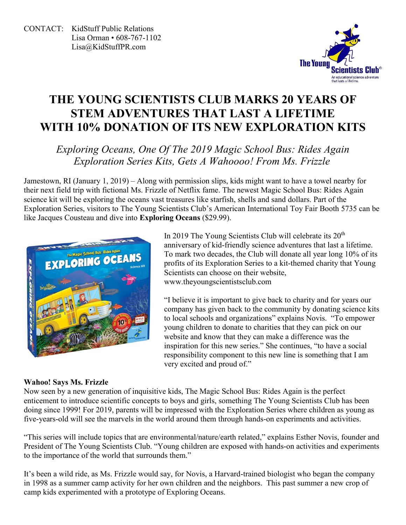

# **THE YOUNG SCIENTISTS CLUB MARKS 20 YEARS OF STEM ADVENTURES THAT LAST A LIFETIME WITH 10% DONATION OF ITS NEW EXPLORATION KITS**

## *Exploring Oceans, One Of The 2019 Magic School Bus: Rides Again Exploration Series Kits, Gets A Wahoooo! From Ms. Frizzle*

Jamestown, RI (January 1, 2019) – Along with permission slips, kids might want to have a towel nearby for their next field trip with fictional Ms. Frizzle of Netflix fame. The newest Magic School Bus: Rides Again science kit will be exploring the oceans vast treasures like starfish, shells and sand dollars. Part of the Exploration Series, visitors to The Young Scientists Club's American International Toy Fair Booth 5735 can be like Jacques Cousteau and dive into **Exploring Oceans** (\$29.99).



### **Wahoo! Says Ms. Frizzle**

Now seen by a new generation of inquisitive kids, The Magic School Bus: Rides Again is the perfect enticement to introduce scientific concepts to boys and girls, something The Young Scientists Club has been doing since 1999! For 2019, parents will be impressed with the Exploration Series where children as young as five-years-old will see the marvels in the world around them through hands-on experiments and activities.

"This series will include topics that are environmental/nature/earth related," explains Esther Novis, founder and President of The Young Scientists Club. "Young children are exposed with hands-on activities and experiments to the importance of the world that surrounds them."

It's been a wild ride, as Ms. Frizzle would say, for Novis, a Harvard-trained biologist who began the company in 1998 as a summer camp activity for her own children and the neighbors. This past summer a new crop of camp kids experimented with a prototype of Exploring Oceans.

In 2019 The Young Scientists Club will celebrate its  $20<sup>th</sup>$ anniversary of kid-friendly science adventures that last a lifetime. To mark two decades, the Club will donate all year long 10% of its profits of its Exploration Series to a kit-themed charity that Young Scientists can choose on their website, www[.theyoungscientistsclub.com](http://www.theyoungscientistsclub.com/)

"I believe it is important to give back to charity and for years our company has given back to the community by donating science kits to local schools and organizations" explains Novis. "To empower young children to donate to charities that they can pick on our website and know that they can make a difference was the inspiration for this new series." She continues, "to have a social responsibility component to this new line is something that I am very excited and proud of."